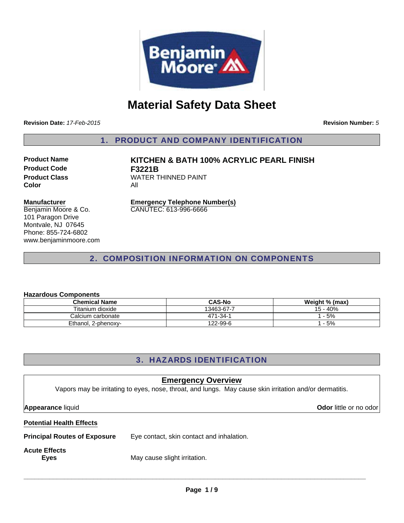

# **Material Safety Data Sheet**

**Revision Date:** *17-Feb-2015*

**Revision Number:** *5*

1. PRODUCT AND COMPANY IDENTIFICATION

**Product Code F3221B Color** All

**Product Name KITCHEN & BATH 100% ACRYLIC PEARL FINISH Product Class WATER THINNED PAINT** 

#### **Manufacturer**

Benjamin Moore & Co. 101 Paragon Drive Montvale, NJ 07645 Phone: 855-724-6802 www.benjaminmoore.com **Emergency Telephone Number(s)** CANUTEC: 613-996-6666

# 2. COMPOSITION INFORMATION ON COMPONENTS

#### **Hazardous Components**

| <b>Chemical Name</b> | <b>CAS-No</b> | Weight % (max) |
|----------------------|---------------|----------------|
| Titanium dioxide     | 13463-67-7    | 15 - 40%       |
| Calcium carbonate    | 471-34-1      | $-5%$          |
| Ethanol, 2-phenoxy-  | 122-99-6      | - 5%           |

# 3. HAZARDS IDENTIFICATION

| <b>Emergency Overview</b><br>Vapors may be irritating to eyes, nose, throat, and lungs. May cause skin irritation and/or dermatitis. |                                           |                               |  |
|--------------------------------------------------------------------------------------------------------------------------------------|-------------------------------------------|-------------------------------|--|
| <b>Appearance liquid</b>                                                                                                             |                                           | <b>Odor</b> little or no odor |  |
| <b>Potential Health Effects</b>                                                                                                      |                                           |                               |  |
| <b>Principal Routes of Exposure</b>                                                                                                  | Eye contact, skin contact and inhalation. |                               |  |
| <b>Acute Effects</b><br><b>Eyes</b>                                                                                                  | May cause slight irritation.              |                               |  |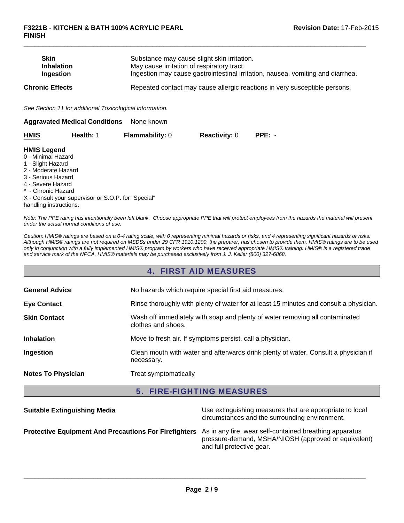| <b>Skin</b><br><b>Inhalation</b><br>Ingestion                                                                                                                                                                                                                                                                                                                                                                                                             |                                                          | Substance may cause slight skin irritation.<br>May cause irritation of respiratory tract. |                                                                            | Ingestion may cause gastrointestinal irritation, nausea, vomiting and diarrhea. |  |  |
|-----------------------------------------------------------------------------------------------------------------------------------------------------------------------------------------------------------------------------------------------------------------------------------------------------------------------------------------------------------------------------------------------------------------------------------------------------------|----------------------------------------------------------|-------------------------------------------------------------------------------------------|----------------------------------------------------------------------------|---------------------------------------------------------------------------------|--|--|
| <b>Chronic Effects</b>                                                                                                                                                                                                                                                                                                                                                                                                                                    |                                                          |                                                                                           | Repeated contact may cause allergic reactions in very susceptible persons. |                                                                                 |  |  |
|                                                                                                                                                                                                                                                                                                                                                                                                                                                           | See Section 11 for additional Toxicological information. |                                                                                           |                                                                            |                                                                                 |  |  |
|                                                                                                                                                                                                                                                                                                                                                                                                                                                           | <b>Aggravated Medical Conditions</b>                     | None known                                                                                |                                                                            |                                                                                 |  |  |
| <b>HMIS</b>                                                                                                                                                                                                                                                                                                                                                                                                                                               | Health: 1                                                | <b>Flammability: 0</b>                                                                    | <b>Reactivity: 0</b>                                                       | $PPE: -$                                                                        |  |  |
| <b>HMIS Legend</b><br>0 - Minimal Hazard<br>1 - Slight Hazard<br>2 - Moderate Hazard<br>$\bigcap_{i=1}^n \bigcap_{i=1}^n \bigcup_{i=1}^n \bigcap_{i=1}^n \bigcap_{i=1}^n \bigcap_{i=1}^n \bigcap_{i=1}^n \bigcap_{i=1}^n \bigcap_{i=1}^n \bigcap_{i=1}^n \bigcap_{i=1}^n \bigcap_{i=1}^n \bigcap_{i=1}^n \bigcap_{i=1}^n \bigcap_{i=1}^n \bigcap_{i=1}^n \bigcap_{i=1}^n \bigcap_{i=1}^n \bigcap_{i=1}^n \bigcap_{i=1}^n \bigcap_{i=1}^n \bigcap_{i=1}^n$ |                                                          |                                                                                           |                                                                            |                                                                                 |  |  |

 $\Box$ 

- 3 Serious Hazard
- 4 Severe Hazard
- \* Chronic Hazard

X - Consult your supervisor or S.O.P. for "Special" handling instructions.

*Note: The PPE rating has intentionally been left blank. Choose appropriate PPE that will protect employees from the hazards the material will present under the actual normal conditions of use.*

*Caution: HMIS® ratings are based on a 0-4 rating scale, with 0 representing minimal hazards or risks, and 4 representing significant hazards or risks. Although HMIS® ratings are not required on MSDSs under 29 CFR 1910.1200, the preparer, has chosen to provide them. HMIS® ratings are to be used only in conjunction with a fully implemented HMIS® program by workers who have received appropriate HMIS® training. HMIS® is a registered trade and service mark of the NPCA. HMIS® materials may be purchased exclusively from J. J. Keller (800) 327-6868.*

### 4. FIRST AID MEASURES

| <b>General Advice</b>     | No hazards which require special first aid measures.                                               |  |
|---------------------------|----------------------------------------------------------------------------------------------------|--|
| <b>Eye Contact</b>        | Rinse thoroughly with plenty of water for at least 15 minutes and consult a physician.             |  |
| <b>Skin Contact</b>       | Wash off immediately with soap and plenty of water removing all contaminated<br>clothes and shoes. |  |
| <b>Inhalation</b>         | Move to fresh air. If symptoms persist, call a physician.                                          |  |
| Ingestion                 | Clean mouth with water and afterwards drink plenty of water. Consult a physician if<br>necessary.  |  |
| <b>Notes To Physician</b> | Treat symptomatically                                                                              |  |

### 5. FIRE-FIGHTING MEASURES

| <b>Suitable Extinguishing Media</b>                                                                                  | Use extinguishing measures that are appropriate to local<br>circumstances and the surrounding environment. |
|----------------------------------------------------------------------------------------------------------------------|------------------------------------------------------------------------------------------------------------|
| <b>Protective Equipment And Precautions For Firefighters</b> As in any fire, wear self-contained breathing apparatus | pressure-demand, MSHA/NIOSH (approved or equivalent)<br>and full protective gear.                          |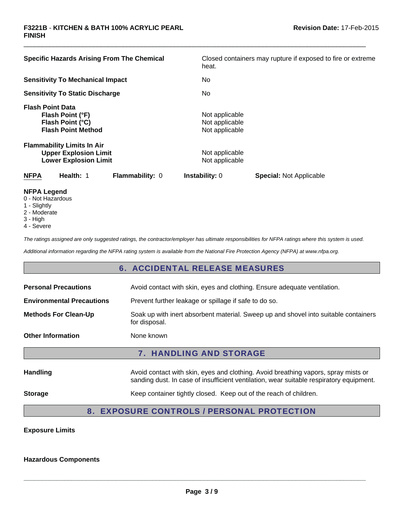| <b>Specific Hazards Arising From The Chemical</b>                                                 | Closed containers may rupture if exposed to fire or extreme<br>heat. |
|---------------------------------------------------------------------------------------------------|----------------------------------------------------------------------|
| <b>Sensitivity To Mechanical Impact</b>                                                           | No.                                                                  |
| <b>Sensitivity To Static Discharge</b>                                                            | No.                                                                  |
| <b>Flash Point Data</b><br>Flash Point (°F)<br>Flash Point (°C)<br><b>Flash Point Method</b>      | Not applicable<br>Not applicable<br>Not applicable                   |
| <b>Flammability Limits In Air</b><br><b>Upper Explosion Limit</b><br><b>Lower Explosion Limit</b> | Not applicable<br>Not applicable                                     |
| <b>NFPA</b><br>Health: 1<br><b>Flammability: 0</b>                                                | <b>Instability: 0</b><br><b>Special: Not Applicable</b>              |
| NFPA Legend                                                                                       |                                                                      |

 $\Box$ 

- **NFPA Legend** 0 - Not Hazardous
- 1 Slightly
- 2 Moderate
- 
- 3 High
- 4 Severe

*The ratings assigned are only suggested ratings, the contractor/employer has ultimate responsibilities for NFPA ratings where this system is used.*

*Additional information regarding the NFPA rating system is available from the National Fire Protection Agency (NFPA) at www.nfpa.org.*

# 6. ACCIDENTAL RELEASE MEASURES

| <b>Personal Precautions</b>      | Avoid contact with skin, eyes and clothing. Ensure adequate ventilation.                                                                                                      |  |  |
|----------------------------------|-------------------------------------------------------------------------------------------------------------------------------------------------------------------------------|--|--|
| <b>Environmental Precautions</b> | Prevent further leakage or spillage if safe to do so.                                                                                                                         |  |  |
| <b>Methods For Clean-Up</b>      | Soak up with inert absorbent material. Sweep up and shovel into suitable containers<br>for disposal.                                                                          |  |  |
| <b>Other Information</b>         | None known                                                                                                                                                                    |  |  |
| <b>7. HANDLING AND STORAGE</b>   |                                                                                                                                                                               |  |  |
| <b>Handling</b>                  | Avoid contact with skin, eyes and clothing. Avoid breathing vapors, spray mists or<br>sanding dust. In case of insufficient ventilation, wear suitable respiratory equipment. |  |  |
| <b>Storage</b>                   | Keep container tightly closed. Keep out of the reach of children.                                                                                                             |  |  |

### 8. EXPOSURE CONTROLS / PERSONAL PROTECTION

### **Exposure Limits**

#### **Hazardous Components**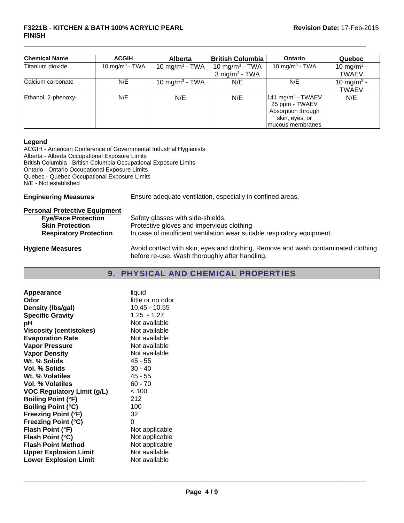| <b>Chemical Name</b> | <b>ACGIH</b>               | <b>Alberta</b>             | <b>British Columbia</b>                                   | <b>Ontario</b>                                                                                              | <b>Quebec</b>                          |
|----------------------|----------------------------|----------------------------|-----------------------------------------------------------|-------------------------------------------------------------------------------------------------------------|----------------------------------------|
| Titanium dioxide     | 10 mg/m <sup>3</sup> - TWA | 10 mg/m <sup>3</sup> - TWA | 10 mg/m <sup>3</sup> - TWA<br>$3$ mg/m <sup>3</sup> - TWA | 10 mg/m <sup>3</sup> - TWA                                                                                  | 10 mg/m <sup>3</sup> -<br><b>TWAEV</b> |
| Calcium carbonate    | N/E                        | 10 mg/m <sup>3</sup> - TWA | N/E                                                       | N/E                                                                                                         | 10 mg/m <sup>3</sup> -<br><b>TWAEV</b> |
| Ethanol, 2-phenoxy-  | N/E                        | N/E                        | N/E                                                       | 141 mg/m <sup>3</sup> - TWAEV<br>25 ppm - TWAEV<br>Absorption through<br>skin, eyes, or<br>mucous membranes | N/E                                    |

 $\Box$ 

#### **Legend**

ACGIH - American Conference of Governmental Industrial Hygienists Alberta - Alberta Occupational Exposure Limits British Columbia - British Columbia Occupational Exposure Limits Ontario - Ontario Occupational Exposure Limits Quebec - Quebec Occupational Exposure Limits N/E - Not established

**Engineering Measures** Ensure adequate ventilation, especially in confined areas.

| <b>Personal Protective Equipment</b> |                                                                                                                                     |
|--------------------------------------|-------------------------------------------------------------------------------------------------------------------------------------|
| <b>Eye/Face Protection</b>           | Safety glasses with side-shields.                                                                                                   |
| <b>Skin Protection</b>               | Protective gloves and impervious clothing                                                                                           |
| <b>Respiratory Protection</b>        | In case of insufficient ventilation wear suitable respiratory equipment.                                                            |
| <b>Hygiene Measures</b>              | Avoid contact with skin, eyes and clothing. Remove and wash contaminated clothing<br>before re-use. Wash thoroughly after handling. |

# 9. PHYSICAL AND CHEMICAL PROPERTIES

| Appearance                        | liquid            |
|-----------------------------------|-------------------|
| Odor                              | little or no odor |
| Density (Ibs/gal)                 | $10.45 - 10.55$   |
| <b>Specific Gravity</b>           | $1.25 - 1.27$     |
| рH                                | Not available     |
| <b>Viscosity (centistokes)</b>    | Not available     |
| <b>Evaporation Rate</b>           | Not available     |
| <b>Vapor Pressure</b>             | Not available     |
| <b>Vapor Density</b>              | Not available     |
| Wt. % Solids                      | $45 - 55$         |
| Vol. % Solids                     | $30 - 40$         |
| Wt. % Volatiles                   | 45 - 55           |
| <b>Vol. % Volatiles</b>           | $60 - 70$         |
| <b>VOC Regulatory Limit (g/L)</b> | < 100             |
| <b>Boiling Point (°F)</b>         | 212               |
| <b>Boiling Point (°C)</b>         | 100               |
| <b>Freezing Point (°F)</b>        | 32                |
| <b>Freezing Point (°C)</b>        | 0                 |
| Flash Point (°F)                  | Not applicable    |
| Flash Point (°C)                  | Not applicable    |
| <b>Flash Point Method</b>         | Not applicable    |
| <b>Upper Explosion Limit</b>      | Not available     |
| <b>Lower Explosion Limit</b>      | Not available     |
|                                   |                   |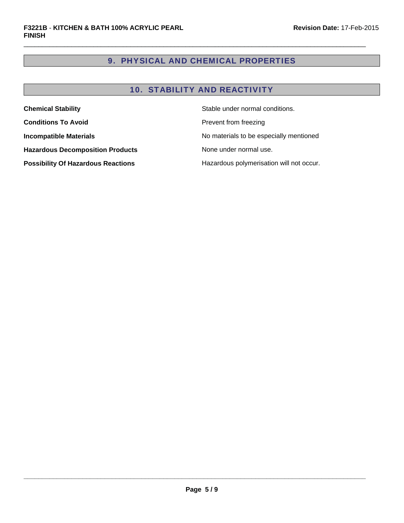# 9. PHYSICAL AND CHEMICAL PROPERTIES

 $\Box$ 

# 10. STABILITY AND REACTIVITY

| Stable under normal conditions.<br><b>Chemical Stability</b> |                                          |
|--------------------------------------------------------------|------------------------------------------|
| <b>Conditions To Avoid</b>                                   | Prevent from freezing                    |
| <b>Incompatible Materials</b>                                | No materials to be especially mentioned  |
| <b>Hazardous Decomposition Products</b>                      | None under normal use.                   |
| <b>Possibility Of Hazardous Reactions</b>                    | Hazardous polymerisation will not occur. |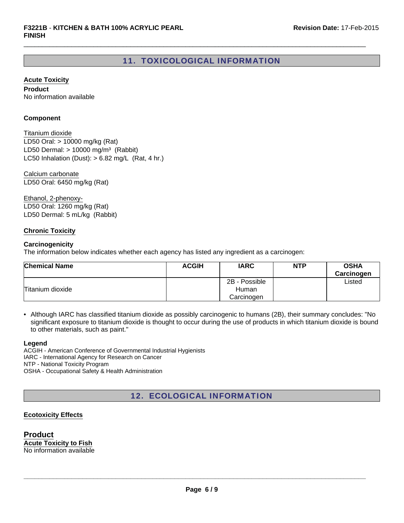# 11. TOXICOLOGICAL INFORMATION

 $\Box$ 

**Acute Toxicity**

**Product** No information available

#### **Component**

LD50 Dermal:  $> 10000$  mg/m<sup>3</sup> (Rabbit) Titanium dioxide LC50 Inhalation (Dust):  $> 6.82$  mg/L (Rat, 4 hr.) LD50 Oral: > 10000 mg/kg (Rat)

Calcium carbonate LD50 Oral: 6450 mg/kg (Rat)

Ethanol, 2-phenoxy-LD50 Oral: 1260 mg/kg (Rat) LD50 Dermal: 5 mL/kg (Rabbit)

#### **Chronic Toxicity**

#### **Carcinogenicity**

The information below indicates whether each agency has listed any ingredient as a carcinogen:

| <b>Chemical Name</b> | <b>ACGIH</b> | <b>IARC</b>   | <b>NTP</b> | <b>OSHA</b><br>Carcinogen |
|----------------------|--------------|---------------|------------|---------------------------|
|                      |              | 2B - Possible |            | Listed                    |
| Titanium dioxide     |              | Human         |            |                           |
|                      |              | Carcinogen    |            |                           |

• Although IARC has classified titanium dioxide as possibly carcinogenic to humans (2B), their summary concludes: "No significant exposure to titanium dioxide is thought to occur during the use of products in which titanium dioxide is bound to other materials, such as paint."

#### **Legend**

ACGIH - American Conference of Governmental Industrial Hygienists IARC - International Agency for Research on Cancer NTP - National Toxicity Program OSHA - Occupational Safety & Health Administration

# 12. ECOLOGICAL INFORMATION

#### **Ecotoxicity Effects**

**Product Acute Toxicity to Fish** No information available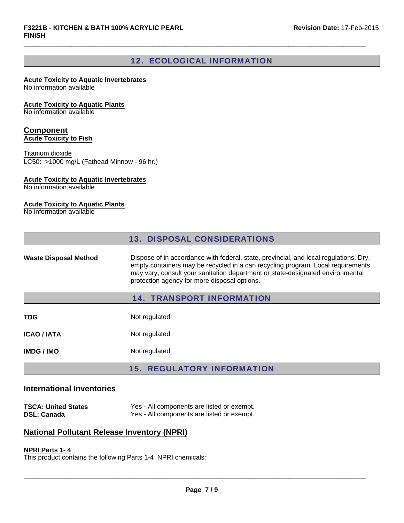# 12. ECOLOGICAL INFORMATION

 $\Box$ 

# **Acute Toxicity to Aquatic Invertebrates**

No information available

#### **Acute Toxicity to Aquatic Plants**

No information available

# **Component**

**Acute Toxicity to Fish**

#### Titanium dioxide

LC50: >1000 mg/L (Fathead Minnow - 96 hr.)

#### **Acute Toxicity to Aquatic Invertebrates**

No information available

#### **Acute Toxicity to Aquatic Plants**

No information available

| <b>13. DISPOSAL CONSIDERATIONS</b> |
|------------------------------------|
|------------------------------------|

Waste Disposal Method Dispose of in accordance with federal, state, provincial, and local regulations. Dry, empty containers may be recycled in a can recycling program. Local requirements may vary, consult your sanitation department or state-designated environmental protection agency for more disposal options.

### 14. TRANSPORT INFORMATION

| TDG         | Not regulated |
|-------------|---------------|
| ICAO / IATA | Not regulated |
|             |               |

**IMDG / IMO** Not regulated

# 15. REGULATORY INFORMATION

### **International Inventories**

**TSCA: United States** Yes - All components are listed or exempt.<br> **NAME: Canada** Yes - All components are listed or exempt. Yes - All components are listed or exempt.

# **National Pollutant Release Inventory (NPRI)**

# **NPRI Parts 1- 4**

This product contains the following Parts 1-4 NPRI chemicals: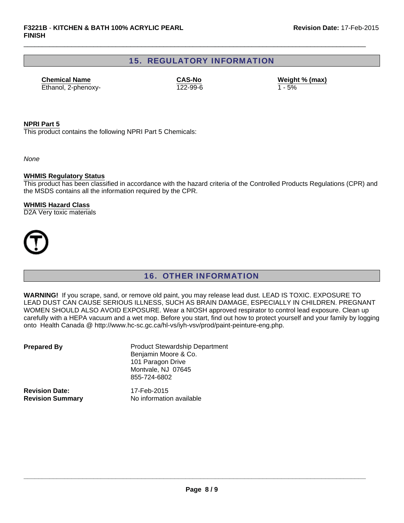# 15. REGULATORY INFORMATION

 $\Box$ 

Ethanol, 2-phenoxy- 122-99-6 **Chemical Name CAS-No**

**Weight % (max)**

#### **NPRI Part 5**

This product contains the following NPRI Part 5 Chemicals:

*None*

#### **WHMIS Regulatory Status**

This product has been classified in accordance with the hazard criteria of the Controlled Products Regulations (CPR) and the MSDS contains all the information required by the CPR.

#### **WHMIS Hazard Class**

D2A Very toxic materials



# 16. OTHER INFORMATION

**WARNING!** If you scrape, sand, or remove old paint, you may release lead dust. LEAD IS TOXIC. EXPOSURE TO LEAD DUST CAN CAUSE SERIOUS ILLNESS, SUCH AS BRAIN DAMAGE, ESPECIALLY IN CHILDREN. PREGNANT WOMEN SHOULD ALSO AVOID EXPOSURE. Wear a NIOSH approved respirator to control lead exposure. Clean up carefully with a HEPA vacuum and a wet mop. Before you start, find out how to protect yourself and your family by logging onto Health Canada @ http://www.hc-sc.gc.ca/hl-vs/iyh-vsv/prod/paint-peinture-eng.php.

| <b>Prepared By</b>      | <b>Product Stewardship Department</b><br>Benjamin Moore & Co.<br>101 Paragon Drive<br>Montvale, NJ 07645<br>855-724-6802 |
|-------------------------|--------------------------------------------------------------------------------------------------------------------------|
| <b>Revision Date:</b>   | 17-Feb-2015                                                                                                              |
| <b>Revision Summary</b> | No information available                                                                                                 |